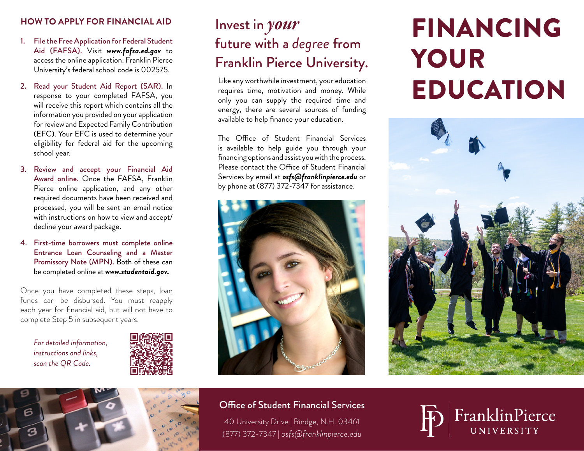#### **HOW TO APPLY FOR FINANCIAL AID**

- 1. File the Free Application for Federal Student Aid (FAFSA). Visit *www.fafsa.ed.gov* to access the online application. Franklin Pierce University's federal school code is 002575.
- 2. Read your Student Aid Report (SAR). In response to your completed FAFSA, you will receive this report which contains all the information you provided on your application for review and Expected Family Contribution (EFC). Your EFC is used to determine your eligibility for federal aid for the upcoming school year.
- 3. Review and accept your Financial Aid Award online. Once the FAFSA, Franklin Pierce online application, and any other required documents have been received and processed, you will be sent an email notice with instructions on how to view and accept/ decline your award package.
- 4. First-time borrowers must complete online Entrance Loan Counseling and a Master Promissory Note (MPN). Both of these can be completed online at *www.studentaid.gov.*

Once you have completed these steps, loan funds can be disbursed. You must reapply each year for financial aid, but will not have to complete Step 5 in subsequent years.

*For detailed information, instructions and links, scan the QR Code.*



## Invest in *your* future with a *degree* from Franklin Pierce University.

Like any worthwhile investment, your education requires time, motivation and money. While only you can supply the required time and energy, there are several sources of funding available to help finance your education.

The Office of Student Financial Services is available to help guide you through your financing options and assist you with the process. Please contact the Office of Student Financial Services by email at *osfs@franklinpierce.edu* or by phone at (877) 372-7347 for assistance.



# FINANCING YOUR EDUCATION





#### Office of Student Financial Services

40 University Drive | Rindge, N.H. 03461 (877) 372-7347 | *osfs@franklinpierce.edu*